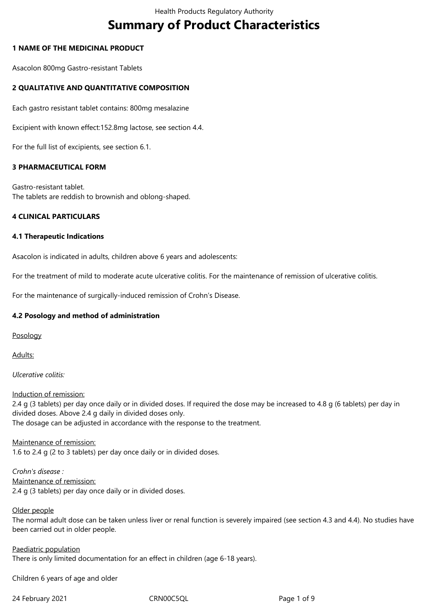# **Summary of Product Characteristics**

## **1 NAME OF THE MEDICINAL PRODUCT**

Asacolon 800mg Gastro-resistant Tablets

## **2 QUALITATIVE AND QUANTITATIVE COMPOSITION**

Each gastro resistant tablet contains: 800mg mesalazine

Excipient with known effect:152.8mg lactose, see section 4.4.

For the full list of excipients, see section 6.1.

## **3 PHARMACEUTICAL FORM**

Gastro-resistant tablet. The tablets are reddish to brownish and oblong-shaped.

#### **4 CLINICAL PARTICULARS**

#### **4.1 Therapeutic Indications**

Asacolon is indicated in adults, children above 6 years and adolescents:

For the treatment of mild to moderate acute ulcerative colitis. For the maintenance of remission of ulcerative colitis.

For the maintenance of surgically-induced remission of Crohn's Disease.

#### **4.2 Posology and method of administration**

Posology

Adults:

*Ulcerative colitis:*

Induction of remission:

2.4 g (3 tablets) per day once daily or in divided doses. If required the dose may be increased to 4.8 g (6 tablets) per day in divided doses. Above 2.4 g daily in divided doses only. The dosage can be adjusted in accordance with the response to the treatment.

Maintenance of remission: 1.6 to 2.4 g (2 to 3 tablets) per day once daily or in divided doses.

*Crohn's disease :* Maintenance of remission: 2.4 g (3 tablets) per day once daily or in divided doses.

#### Older people

The normal adult dose can be taken unless liver or renal function is severely impaired (see section 4.3 and 4.4). No studies have been carried out in older people.

Paediatric population There is only limited documentation for an effect in children (age 6-18 years).

Children 6 years of age and older

24 February 2021 CRN00C5QL Page 1 of 9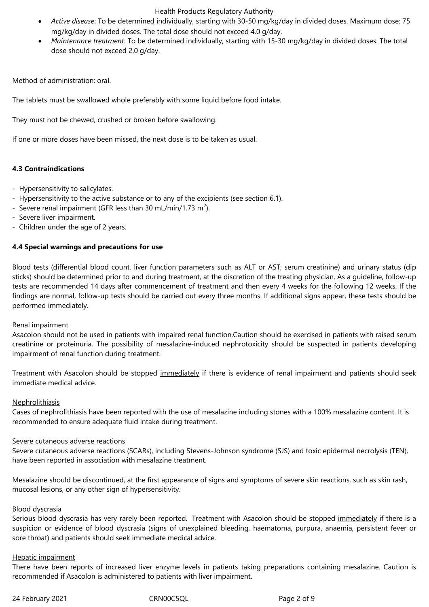- *Active disease*: To be determined individually, starting with 30-50 mg/kg/day in divided doses. Maximum dose: 75 mg/kg/day in divided doses. The total dose should not exceed 4.0 g/day.
- *Maintenance treatment*: To be determined individually, starting with 15-30 mg/kg/day in divided doses. The total dose should not exceed 2.0 g/day.

Method of administration: oral.

The tablets must be swallowed whole preferably with some liquid before food intake.

They must not be chewed, crushed or broken before swallowing.

If one or more doses have been missed, the next dose is to be taken as usual.

## **4.3 Contraindications**

- Hypersensitivity to salicylates.
- Hypersensitivity to the active substance or to any of the excipients (see section 6.1).
- Severe renal impairment (GFR less than 30 mL/min/1.73 m<sup>2</sup>).
- Severe liver impairment.
- Children under the age of 2 years.

## **4.4 Special warnings and precautions for use**

Blood tests (differential blood count, liver function parameters such as ALT or AST; serum creatinine) and urinary status (dip sticks) should be determined prior to and during treatment, at the discretion of the treating physician. As a guideline, follow-up tests are recommended 14 days after commencement of treatment and then every 4 weeks for the following 12 weeks. If the findings are normal, follow-up tests should be carried out every three months. If additional signs appear, these tests should be performed immediately.

#### Renal impairment

Asacolon should not be used in patients with impaired renal function.Caution should be exercised in patients with raised serum creatinine or proteinuria. The possibility of mesalazine-induced nephrotoxicity should be suspected in patients developing impairment of renal function during treatment.

Treatment with Asacolon should be stopped immediately if there is evidence of renal impairment and patients should seek immediate medical advice.

#### Nephrolithiasis

Cases of nephrolithiasis have been reported with the use of mesalazine including stones with a 100% mesalazine content. It is recommended to ensure adequate fluid intake during treatment.

#### Severe cutaneous adverse reactions

Severe cutaneous adverse reactions (SCARs), including Stevens-Johnson syndrome (SJS) and toxic epidermal necrolysis (TEN), have been reported in association with mesalazine treatment.

Mesalazine should be discontinued, at the first appearance of signs and symptoms of severe skin reactions, such as skin rash, mucosal lesions, or any other sign of hypersensitivity.

#### Blood dyscrasia

Serious blood dyscrasia has very rarely been reported. Treatment with Asacolon should be stopped immediately if there is a suspicion or evidence of blood dyscrasia (signs of unexplained bleeding, haematoma, purpura, anaemia, persistent fever or sore throat) and patients should seek immediate medical advice.

#### Hepatic impairment

There have been reports of increased liver enzyme levels in patients taking preparations containing mesalazine. Caution is recommended if Asacolon is administered to patients with liver impairment.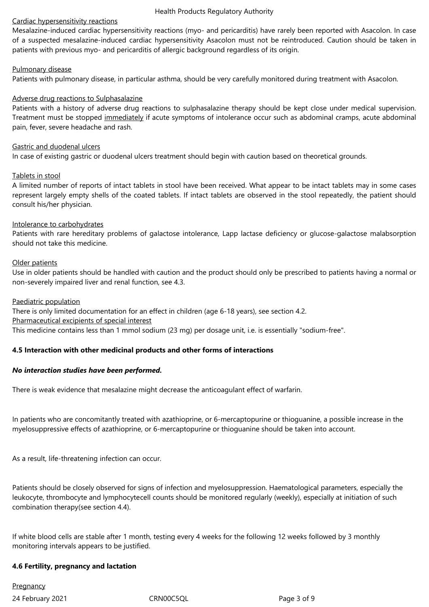#### Cardiac hypersensitivity reactions

Mesalazine-induced cardiac hypersensitivity reactions (myo- and pericarditis) have rarely been reported with Asacolon. In case of a suspected mesalazine-induced cardiac hypersensitivity Asacolon must not be reintroduced. Caution should be taken in patients with previous myo- and pericarditis of allergic background regardless of its origin.

## Pulmonary disease

Patients with pulmonary disease, in particular asthma, should be very carefully monitored during treatment with Asacolon.

## Adverse drug reactions to Sulphasalazine

Patients with a history of adverse drug reactions to sulphasalazine therapy should be kept close under medical supervision. Treatment must be stopped immediately if acute symptoms of intolerance occur such as abdominal cramps, acute abdominal pain, fever, severe headache and rash.

#### Gastric and duodenal ulcers

In case of existing gastric or duodenal ulcers treatment should begin with caution based on theoretical grounds.

#### Tablets in stool

A limited number of reports of intact tablets in stool have been received. What appear to be intact tablets may in some cases represent largely empty shells of the coated tablets. If intact tablets are observed in the stool repeatedly, the patient should consult his/her physician.

#### Intolerance to carbohydrates

Patients with rare hereditary problems of galactose intolerance, Lapp lactase deficiency or glucose-galactose malabsorption should not take this medicine.

#### Older patients

Use in older patients should be handled with caution and the product should only be prescribed to patients having a normal or non-severely impaired liver and renal function, see 4.3.

#### Paediatric population

There is only limited documentation for an effect in children (age 6-18 years), see section 4.2. Pharmaceutical excipients of special interest This medicine contains less than 1 mmol sodium (23 mg) per dosage unit, i.e. is essentially "sodium-free".

#### **4.5 Interaction with other medicinal products and other forms of interactions**

#### *No interaction studies have been performed.*

There is weak evidence that mesalazine might decrease the anticoagulant effect of warfarin.

In patients who are concomitantly treated with azathioprine, or 6-mercaptopurine or thioguanine, a possible increase in the myelosuppressive effects of azathioprine, or 6-mercaptopurine or thioguanine should be taken into account.

As a result, life-threatening infection can occur.

Patients should be closely observed for signs of infection and myelosuppression. Haematological parameters, especially the leukocyte, thrombocyte and lymphocytecell counts should be monitored regularly (weekly), especially at initiation of such combination therapy(see section 4.4).

If white blood cells are stable after 1 month, testing every 4 weeks for the following 12 weeks followed by 3 monthly monitoring intervals appears to be justified.

#### **4.6 Fertility, pregnancy and lactation**

24 February 2021 CRN00C5QL Page 3 of 9 **Pregnancy**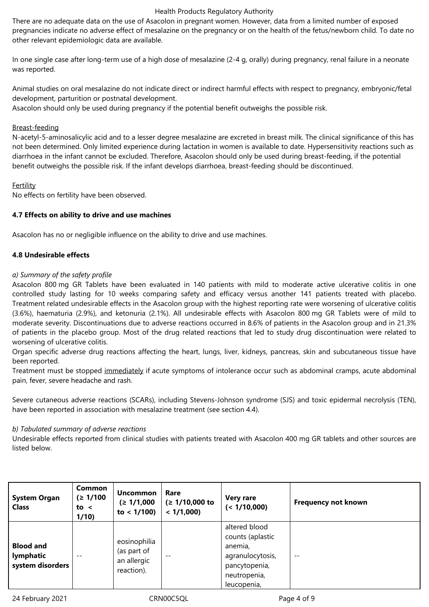There are no adequate data on the use of Asacolon in pregnant women. However, data from a limited number of exposed pregnancies indicate no adverse effect of mesalazine on the pregnancy or on the health of the fetus/newborn child. To date no other relevant epidemiologic data are available.

In one single case after long-term use of a high dose of mesalazine (2-4 g, orally) during pregnancy, renal failure in a neonate was reported.

Animal studies on oral mesalazine do not indicate direct or indirect harmful effects with respect to pregnancy, embryonic/fetal development, parturition or postnatal development. Asacolon should only be used during pregnancy if the potential benefit outweighs the possible risk.

## Breast-feeding

N-acetyl-5-aminosalicylic acid and to a lesser degree mesalazine are excreted in breast milk. The clinical significance of this has not been determined. Only limited experience during lactation in women is available to date. Hypersensitivity reactions such as diarrhoea in the infant cannot be excluded. Therefore, Asacolon should only be used during breast-feeding, if the potential benefit outweighs the possible risk. If the infant develops diarrhoea, breast-feeding should be discontinued.

## **Fertility**

No effects on fertility have been observed.

## **4.7 Effects on ability to drive and use machines**

Asacolon has no or negligible influence on the ability to drive and use machines.

## **4.8 Undesirable effects**

## *a) Summary of the safety profile*

Asacolon 800 mg GR Tablets have been evaluated in 140 patients with mild to moderate active ulcerative colitis in one controlled study lasting for 10 weeks comparing safety and efficacy versus another 141 patients treated with placebo. Treatment related undesirable effects in the Asacolon group with the highest reporting rate were worsening of ulcerative colitis (3.6%), haematuria (2.9%), and ketonuria (2.1%). All undesirable effects with Asacolon 800 mg GR Tablets were of mild to moderate severity. Discontinuations due to adverse reactions occurred in 8.6% of patients in the Asacolon group and in 21.3% of patients in the placebo group. Most of the drug related reactions that led to study drug discontinuation were related to worsening of ulcerative colitis.

Organ specific adverse drug reactions affecting the heart, lungs, liver, kidneys, pancreas, skin and subcutaneous tissue have been reported.

Treatment must be stopped immediately if acute symptoms of intolerance occur such as abdominal cramps, acute abdominal pain, fever, severe headache and rash.

Severe cutaneous adverse reactions (SCARs), including Stevens-Johnson syndrome (SJS) and toxic epidermal necrolysis (TEN), have been reported in association with mesalazine treatment (see section 4.4).

#### *b) Tabulated summary of adverse reactions*

Undesirable effects reported from clinical studies with patients treated with Asacolon 400 mg GR tablets and other sources are listed below.

| <b>System Organ</b><br><b>Class</b>               | Common<br>(≥ 1/100)<br>to $\leq$<br>1/10 | <b>Uncommon</b><br>(≥ 1/1,000)<br>to $< 1/100$ )         | Rare<br>$( \geq 1/10,000$ to<br>< 1/1,000 | <b>Very rare</b><br>(< 1/10,000)                                                                                 | <b>Frequency not known</b> |
|---------------------------------------------------|------------------------------------------|----------------------------------------------------------|-------------------------------------------|------------------------------------------------------------------------------------------------------------------|----------------------------|
| <b>Blood and</b><br>lymphatic<br>system disorders | $- -$                                    | eosinophilia<br>(as part of<br>an allergic<br>reaction). | $ -$                                      | altered blood<br>counts (aplastic<br>anemia,<br>agranulocytosis,<br>pancytopenia,<br>neutropenia,<br>leucopenia, | $- -$                      |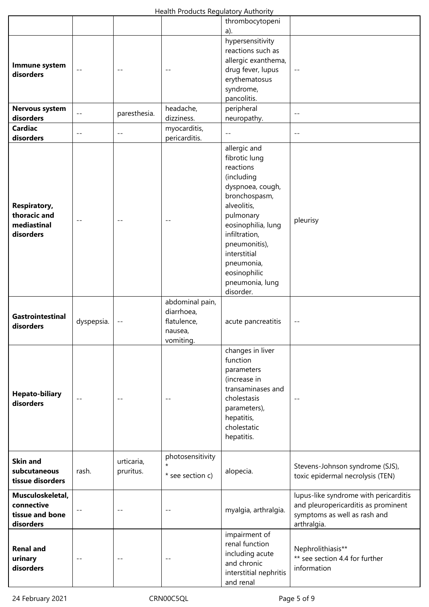|                                                                 |                            |                         | ricaidi ribaacts negalatoly Additiont                                |                                                                                                                                                                                                                                                                 |                                                                                                                             |
|-----------------------------------------------------------------|----------------------------|-------------------------|----------------------------------------------------------------------|-----------------------------------------------------------------------------------------------------------------------------------------------------------------------------------------------------------------------------------------------------------------|-----------------------------------------------------------------------------------------------------------------------------|
|                                                                 |                            |                         |                                                                      | thrombocytopeni                                                                                                                                                                                                                                                 |                                                                                                                             |
|                                                                 |                            |                         |                                                                      | a).                                                                                                                                                                                                                                                             |                                                                                                                             |
| Immune system<br>disorders                                      | $\overline{\phantom{a}}$ . | $- -$                   |                                                                      | hypersensitivity<br>reactions such as<br>allergic exanthema,<br>drug fever, lupus<br>erythematosus<br>syndrome,<br>pancolitis.                                                                                                                                  | --                                                                                                                          |
| Nervous system                                                  |                            |                         | headache,                                                            | peripheral                                                                                                                                                                                                                                                      |                                                                                                                             |
| disorders                                                       | $- -$                      | paresthesia.            | dizziness.                                                           | neuropathy.                                                                                                                                                                                                                                                     | $- -$                                                                                                                       |
| <b>Cardiac</b>                                                  |                            |                         | myocarditis,                                                         |                                                                                                                                                                                                                                                                 |                                                                                                                             |
| disorders                                                       |                            | $- -$                   | pericarditis.                                                        |                                                                                                                                                                                                                                                                 | $- -$                                                                                                                       |
| <b>Respiratory,</b><br>thoracic and<br>mediastinal<br>disorders | $- -$                      |                         |                                                                      | allergic and<br>fibrotic lung<br>reactions<br>(including<br>dyspnoea, cough,<br>bronchospasm,<br>alveolitis,<br>pulmonary<br>eosinophilia, lung<br>infiltration,<br>pneumonitis),<br>interstitial<br>pneumonia,<br>eosinophilic<br>pneumonia, lung<br>disorder. | pleurisy                                                                                                                    |
| <b>Gastrointestinal</b><br>disorders                            | dyspepsia.                 |                         | abdominal pain,<br>diarrhoea,<br>flatulence,<br>nausea,<br>vomiting. | acute pancreatitis                                                                                                                                                                                                                                              |                                                                                                                             |
| <b>Hepato-biliary</b><br>disorders                              | $\overline{\phantom{a}}$ . | $-$                     |                                                                      | changes in liver<br>function<br>parameters<br>(increase in<br>transaminases and<br>cholestasis<br>parameters),<br>hepatitis,<br>cholestatic<br>hepatitis.                                                                                                       |                                                                                                                             |
| <b>Skin and</b><br>subcutaneous<br>tissue disorders             | rash.                      | urticaria,<br>pruritus. | photosensitivity<br>$\star$<br>* see section c)                      | alopecia.                                                                                                                                                                                                                                                       | Stevens-Johnson syndrome (SJS),<br>toxic epidermal necrolysis (TEN)                                                         |
| Musculoskeletal,<br>connective<br>tissue and bone<br>disorders  |                            | $\sim$ $\sim$           |                                                                      | myalgia, arthralgia.                                                                                                                                                                                                                                            | lupus-like syndrome with pericarditis<br>and pleuropericarditis as prominent<br>symptoms as well as rash and<br>arthralgia. |
| <b>Renal and</b><br>urinary<br>disorders                        | $- -$                      | $ -$                    |                                                                      | impairment of<br>renal function<br>including acute<br>and chronic<br>interstitial nephritis<br>and renal                                                                                                                                                        | Nephrolithiasis**<br>** see section 4.4 for further<br>information                                                          |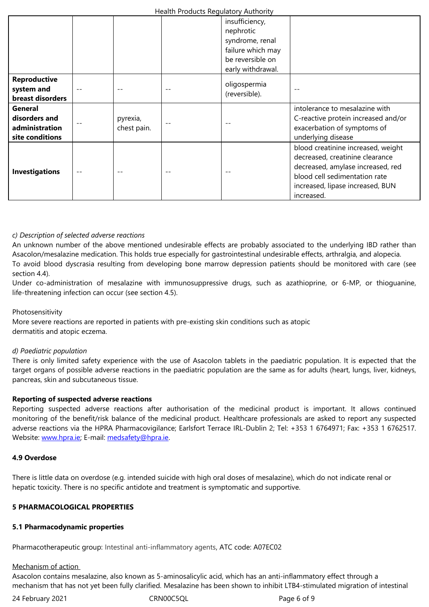|                                                               |       |                         | syndrome, renal<br>failure which may<br>be reversible on<br>early withdrawal. |                                                                                                                                                                                               |
|---------------------------------------------------------------|-------|-------------------------|-------------------------------------------------------------------------------|-----------------------------------------------------------------------------------------------------------------------------------------------------------------------------------------------|
| <b>Reproductive</b><br>system and<br>breast disorders         | $ -$  |                         | oligospermia<br>(reversible).                                                 |                                                                                                                                                                                               |
| General<br>disorders and<br>administration<br>site conditions |       | pyrexia,<br>chest pain. |                                                                               | intolerance to mesalazine with<br>C-reactive protein increased and/or<br>exacerbation of symptoms of<br>underlying disease                                                                    |
| <b>Investigations</b>                                         | $- -$ |                         |                                                                               | blood creatinine increased, weight<br>decreased, creatinine clearance<br>decreased, amylase increased, red<br>blood cell sedimentation rate<br>increased, lipase increased, BUN<br>increased. |

## *c) Description of selected adverse reactions*

An unknown number of the above mentioned undesirable effects are probably associated to the underlying IBD rather than Asacolon/mesalazine medication. This holds true especially for gastrointestinal undesirable effects, arthralgia, and alopecia. To avoid blood dyscrasia resulting from developing bone marrow depression patients should be monitored with care (see section 4.4).

Under co-administration of mesalazine with immunosuppressive drugs, such as azathioprine, or 6-MP, or thioguanine, life-threatening infection can occur (see section 4.5).

#### Photosensitivity

More severe reactions are reported in patients with pre-existing skin conditions such as atopic dermatitis and atopic eczema.

#### *d) Paediatric population*

There is only limited safety experience with the use of Asacolon tablets in the paediatric population. It is expected that the target organs of possible adverse reactions in the paediatric population are the same as for adults (heart, lungs, liver, kidneys, pancreas, skin and subcutaneous tissue.

#### **Reporting of suspected adverse reactions**

Reporting suspected adverse reactions after authorisation of the medicinal product is important. It allows continued monitoring of the benefit/risk balance of the medicinal product. Healthcare professionals are asked to report any suspected adverse reactions via the HPRA Pharmacovigilance; Earlsfort Terrace IRL-Dublin 2; Tel: +353 1 6764971; Fax: +353 1 6762517. Website: www.hpra.ie; E-mail: medsafety@hpra.ie.

#### **4.9 Overdose**

There is l[ittle data on](http://www.hpra.ie/) overdos[e \(e.g. intended suic](mailto:medsafety@hpra.ie)ide with high oral doses of mesalazine), which do not indicate renal or hepatic toxicity. There is no specific antidote and treatment is symptomatic and supportive.

## **5 PHARMACOLOGICAL PROPERTIES**

#### **5.1 Pharmacodynamic properties**

Pharmacotherapeutic group: Intestinal anti-inflammatory agents, ATC code: A07EC02

#### Mechanism of action

Asacolon contains mesalazine, also known as 5-aminosalicylic acid, which has an anti-inflammatory effect through a mechanism that has not yet been fully clarified. Mesalazine has been shown to inhibit LTB4-stimulated migration of intestinal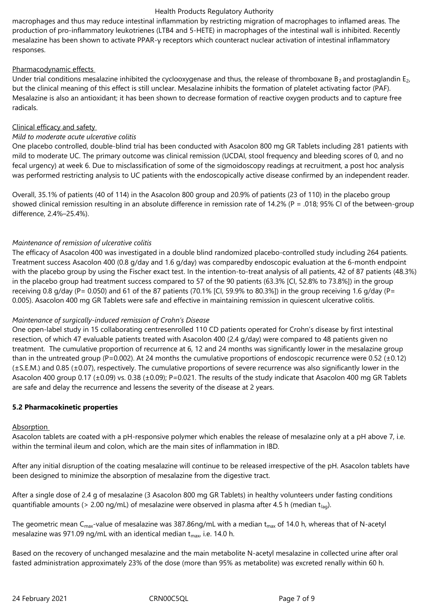macrophages and thus may reduce intestinal inflammation by restricting migration of macrophages to inflamed areas. The production of pro-inflammatory leukotrienes (LTB4 and 5-HETE) in macrophages of the intestinal wall is inhibited. Recently mesalazine has been shown to activate PPAR-γ receptors which counteract nuclear activation of intestinal inflammatory responses.

## Pharmacodynamic effects

Under trial conditions mesalazine inhibited the cyclooxygenase and thus, the release of thromboxane  $B_2$  and prostaglandin E<sub>2</sub>, but the clinical meaning of this effect is still unclear. Mesalazine inhibits the formation of platelet activating factor (PAF). Mesalazine is also an antioxidant; it has been shown to decrease formation of reactive oxygen products and to capture free radicals.

## Clinical efficacy and safety

## *Mild to moderate acute ulcerative colitis*

One placebo controlled, double-blind trial has been conducted with Asacolon 800 mg GR Tablets including 281 patients with mild to moderate UC. The primary outcome was clinical remission (UCDAI, stool frequency and bleeding scores of 0, and no fecal urgency) at week 6. Due to misclassification of some of the sigmoidoscopy readings at recruitment, a post hoc analysis was performed restricting analysis to UC patients with the endoscopically active disease confirmed by an independent reader.

Overall, 35.1% of patients (40 of 114) in the Asacolon 800 group and 20.9% of patients (23 of 110) in the placebo group showed clinical remission resulting in an absolute difference in remission rate of 14.2% (P = .018; 95% CI of the between-group difference, 2.4%–25.4%).

## *Maintenance of remission of ulcerative colitis*

The efficacy of Asacolon 400 was investigated in a double blind randomized placebo-controlled study including 264 patients. Treatment success Asacolon 400 (0.8 g/day and 1.6 g/day) was comparedby endoscopic evaluation at the 6-month endpoint with the placebo group by using the Fischer exact test. In the intention-to-treat analysis of all patients, 42 of 87 patients (48.3%) in the placebo group had treatment success compared to 57 of the 90 patients (63.3% [CI, 52.8% to 73.8%]) in the group receiving 0.8 g/day (P= 0.050) and 61 of the 87 patients (70.1% [CI, 59.9% to 80.3%]) in the group receiving 1.6 g/day (P= 0.005). Asacolon 400 mg GR Tablets were safe and effective in maintaining remission in quiescent ulcerative colitis.

## *Maintenance of surgically-induced remission of Crohn's Disease*

One open-label study in 15 collaborating centresenrolled 110 CD patients operated for Crohn's disease by first intestinal resection, of which 47 evaluable patients treated with Asacolon 400 (2.4 g/day) were compared to 48 patients given no treatment. The cumulative proportion of recurrence at 6, 12 and 24 months was significantly lower in the mesalazine group than in the untreated group (P=0.002). At 24 months the cumulative proportions of endoscopic recurrence were 0.52 ( $\pm$ 0.12)  $(\pm S.E.M.)$  and 0.85 ( $\pm$ 0.07), respectively. The cumulative proportions of severe recurrence was also significantly lower in the Asacolon 400 group 0.17 (±0.09) vs. 0.38 (±0.09); P=0.021. The results of the study indicate that Asacolon 400 mg GR Tablets are safe and delay the recurrence and lessens the severity of the disease at 2 years.

## **5.2 Pharmacokinetic properties**

#### Absorption

Asacolon tablets are coated with a pH-responsive polymer which enables the release of mesalazine only at a pH above 7, i.e. within the terminal ileum and colon, which are the main sites of inflammation in IBD.

After any initial disruption of the coating mesalazine will continue to be released irrespective of the pH. Asacolon tablets have been designed to minimize the absorption of mesalazine from the digestive tract.

After a single dose of 2.4 g of mesalazine (3 Asacolon 800 mg GR Tablets) in healthy volunteers under fasting conditions quantifiable amounts (> 2.00 ng/mL) of mesalazine were observed in plasma after 4.5 h (median t<sub>lag</sub>).

The geometric mean C<sub>max</sub>-value of mesalazine was 387.86ng/mL with a median t<sub>max</sub> of 14.0 h, whereas that of N-acetyl mesalazine was 971.09 ng/mL with an identical median  $t_{\text{max}}$ , i.e. 14.0 h.

Based on the recovery of unchanged mesalazine and the main metabolite N-acetyl mesalazine in collected urine after oral fasted administration approximately 23% of the dose (more than 95% as metabolite) was excreted renally within 60 h.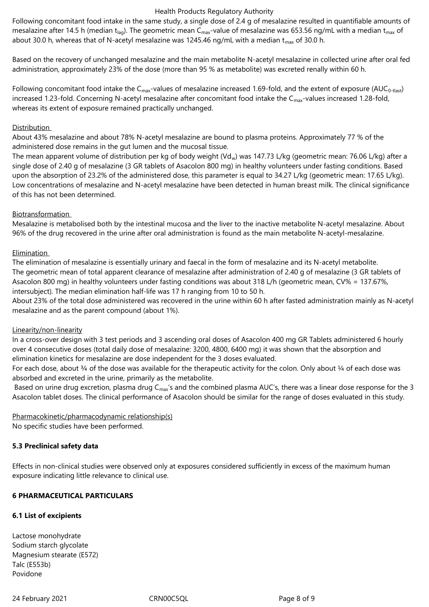Following concomitant food intake in the same study, a single dose of 2.4 g of mesalazine resulted in quantifiable amounts of mesalazine after 14.5 h (median t<sub>lag</sub>). The geometric mean C<sub>max</sub>-value of mesalazine was 653.56 ng/mL with a median t<sub>max</sub> of about 30.0 h, whereas that of N-acetyl mesalazine was 1245.46 ng/mL with a median  $t_{\text{max}}$  of 30.0 h.

Based on the recovery of unchanged mesalazine and the main metabolite N-acetyl mesalazine in collected urine after oral fed administration, approximately 23% of the dose (more than 95 % as metabolite) was excreted renally within 60 h.

Following concomitant food intake the C<sub>max</sub>-values of mesalazine increased 1.69-fold, and the extent of exposure (AUC<sub>0-tlast</sub>) increased 1.23-fold. Concerning N-acetyl mesalazine after concomitant food intake the C<sub>max</sub>-values increased 1.28-fold, whereas its extent of exposure remained practically unchanged.

## **Distribution**

About 43% mesalazine and about 78% N-acetyl mesalazine are bound to plasma proteins. Approximately 77 % of the administered dose remains in the gut lumen and the mucosal tissue.

The mean apparent volume of distribution per kg of body weight (Vd<sub>w</sub>) was 147.73 L/kg (geometric mean: 76.06 L/kg) after a single dose of 2.40 g of mesalazine (3 GR tablets of Asacolon 800 mg) in healthy volunteers under fasting conditions. Based upon the absorption of 23.2% of the administered dose, this parameter is equal to 34.27 L/kg (geometric mean: 17.65 L/kg). Low concentrations of mesalazine and N-acetyl mesalazine have been detected in human breast milk. The clinical significance of this has not been determined.

## Biotransformation

Mesalazine is metabolised both by the intestinal mucosa and the liver to the inactive metabolite N-acetyl mesalazine. About 96% of the drug recovered in the urine after oral administration is found as the main metabolite N-acetyl-mesalazine.

## Elimination

The elimination of mesalazine is essentially urinary and faecal in the form of mesalazine and its N-acetyl metabolite. The geometric mean of total apparent clearance of mesalazine after administration of 2.40 g of mesalazine (3 GR tablets of Asacolon 800 mg) in healthy volunteers under fasting conditions was about 318 L/h (geometric mean, CV% = 137.67%, intersubject). The median elimination half-life was 17 h ranging from 10 to 50 h.

About 23% of the total dose administered was recovered in the urine within 60 h after fasted administration mainly as N-acetyl mesalazine and as the parent compound (about 1%).

#### Linearity/non-linearity

In a cross-over design with 3 test periods and 3 ascending oral doses of Asacolon 400 mg GR Tablets administered 6 hourly over 4 consecutive doses (total daily dose of mesalazine: 3200, 4800, 6400 mg) it was shown that the absorption and elimination kinetics for mesalazine are dose independent for the 3 doses evaluated.

For each dose, about  $\frac{3}{4}$  of the dose was available for the therapeutic activity for the colon. Only about  $\frac{1}{4}$  of each dose was absorbed and excreted in the urine, primarily as the metabolite.

Based on urine drug excretion, plasma drug  $C_{max}$ 's and the combined plasma AUC's, there was a linear dose response for the 3 Asacolon tablet doses. The clinical performance of Asacolon should be similar for the range of doses evaluated in this study.

Pharmacokinetic/pharmacodynamic relationship(s) No specific studies have been performed.

## **5.3 Preclinical safety data**

Effects in non-clinical studies were observed only at exposures considered sufficiently in excess of the maximum human exposure indicating little relevance to clinical use.

## **6 PHARMACEUTICAL PARTICULARS**

## **6.1 List of excipients**

Lactose monohydrate Sodium starch glycolate Magnesium stearate (E572) Talc (E553b) Povidone